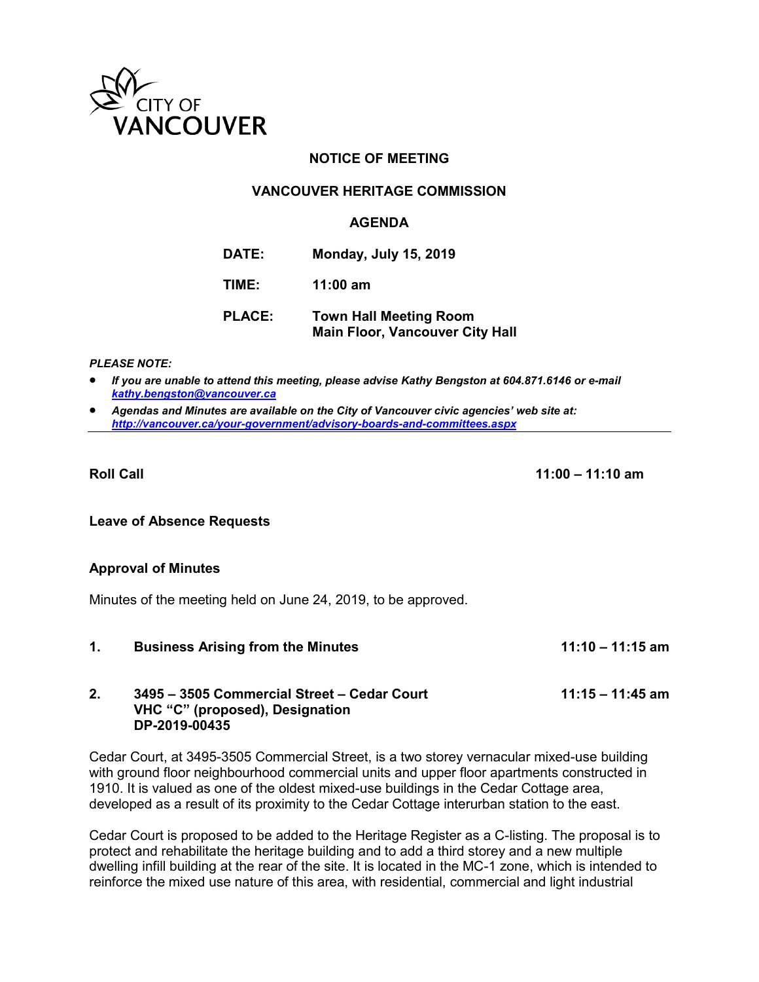

# **NOTICE OF MEETING**

## **VANCOUVER HERITAGE COMMISSION**

### **AGENDA**

| DATE: |  | <b>Monday, July 15, 2019</b> |
|-------|--|------------------------------|
|-------|--|------------------------------|

**TIME: 11:00 am**

**PLACE: Town Hall Meeting Room Main Floor, Vancouver City Hall** 

#### *PLEASE NOTE:*

 *If you are unable to attend this meeting, please advise Kathy Bengston at 604.871.6146 or e-mail [kathy.bengston@vancouver.ca](mailto:kathy.bengston@vancouver.ca)* 

 *Agendas and Minutes are available on the City of Vancouver civic agencies' web site at: <http://vancouver.ca/your-government/advisory-boards-and-committees.aspx>*

**Roll Call 11:00 – 11:10 am** 

### **Leave of Absence Requests**

### **Approval of Minutes**

Minutes of the meeting held on June 24, 2019, to be approved.

**1. Business Arising from the Minutes 11:10 – 11:15 am** 

## **2. 3495 – 3505 Commercial Street – Cedar Court 11:15 – 11:45 am VHC "C" (proposed), Designation DP-2019-00435**

Cedar Court, at 3495-3505 Commercial Street, is a two storey vernacular mixed-use building with ground floor neighbourhood commercial units and upper floor apartments constructed in 1910. It is valued as one of the oldest mixed-use buildings in the Cedar Cottage area, developed as a result of its proximity to the Cedar Cottage interurban station to the east.

Cedar Court is proposed to be added to the Heritage Register as a C-listing. The proposal is to protect and rehabilitate the heritage building and to add a third storey and a new multiple dwelling infill building at the rear of the site. It is located in the MC-1 zone, which is intended to reinforce the mixed use nature of this area, with residential, commercial and light industrial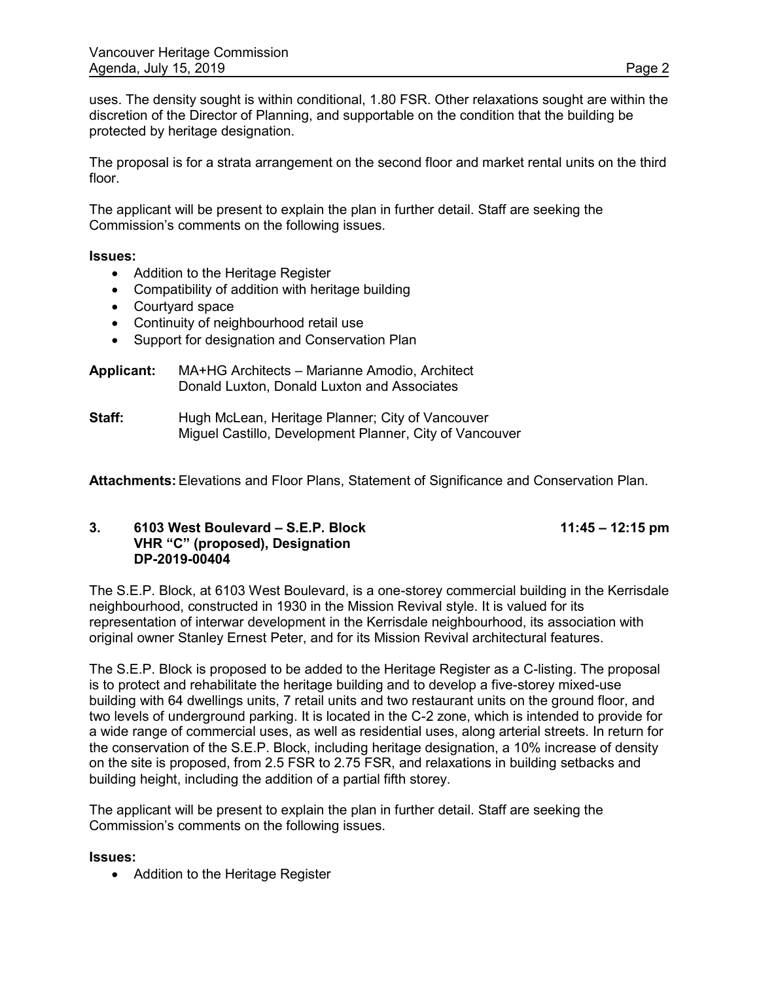uses. The density sought is within conditional, 1.80 FSR. Other relaxations sought are within the discretion of the Director of Planning, and supportable on the condition that the building be protected by heritage designation.

The proposal is for a strata arrangement on the second floor and market rental units on the third floor.

The applicant will be present to explain the plan in further detail. Staff are seeking the Commission's comments on the following issues.

### **Issues:**

- Addition to the Heritage Register
- Compatibility of addition with heritage building
- Courtyard space
- Continuity of neighbourhood retail use
- Support for designation and Conservation Plan

| <b>Applicant:</b> | MA+HG Architects - Marianne Amodio, Architect |
|-------------------|-----------------------------------------------|
|                   | Donald Luxton, Donald Luxton and Associates   |

**Staff:** Hugh McLean, Heritage Planner; City of Vancouver Miguel Castillo, Development Planner, City of Vancouver

**Attachments:** Elevations and Floor Plans, Statement of Significance and Conservation Plan.

### **3. 6103 West Boulevard – S.E.P. Block 11:45 – 12:15 pm VHR "C" (proposed), Designation DP-2019-00404**

The S.E.P. Block, at 6103 West Boulevard, is a one-storey commercial building in the Kerrisdale neighbourhood, constructed in 1930 in the Mission Revival style. It is valued for its representation of interwar development in the Kerrisdale neighbourhood, its association with original owner Stanley Ernest Peter, and for its Mission Revival architectural features.

The S.E.P. Block is proposed to be added to the Heritage Register as a C-listing. The proposal is to protect and rehabilitate the heritage building and to develop a five-storey mixed-use building with 64 dwellings units, 7 retail units and two restaurant units on the ground floor, and two levels of underground parking. It is located in the C-2 zone, which is intended to provide for a wide range of commercial uses, as well as residential uses, along arterial streets. In return for the conservation of the S.E.P. Block, including heritage designation, a 10% increase of density on the site is proposed, from 2.5 FSR to 2.75 FSR, and relaxations in building setbacks and building height, including the addition of a partial fifth storey.

The applicant will be present to explain the plan in further detail. Staff are seeking the Commission's comments on the following issues.

### **Issues:**

• Addition to the Heritage Register